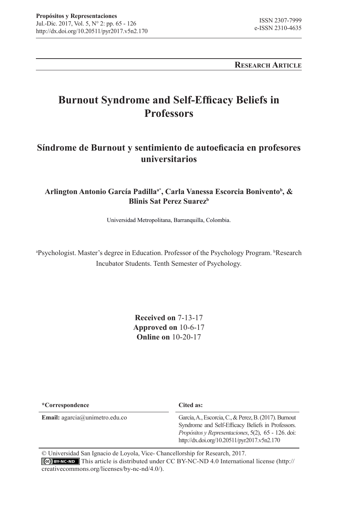**Research Article**

# **Burnout Syndrome and Self-Efficacy Beliefs in Professors**

## **Síndrome de Burnout y sentimiento de autoeficacia en profesores universitarios**

**Arlington Antonio García Padillaa\*, Carla Vanessa Escorcia Bonivento<sup>b</sup> , & Blinis Sat Perez Suarez<sup>b</sup>**

Universidad Metropolitana, Barranquilla, Colombia.

<sup>a</sup>Psychologist. Master's degree in Education. Professor of the Psychology Program. <sup>b</sup>Research Incubator Students. Tenth Semester of Psychology.

> **Received on** 7-13-17 **Approved on** 10-6-17 **Online on** 10-20-17

| *Correspondence                          | Cited as:                                                                                                                                                                                                        |
|------------------------------------------|------------------------------------------------------------------------------------------------------------------------------------------------------------------------------------------------------------------|
| <b>Email:</b> $agarcia@$ unimetro.edu.co | García, A., Escorcia, C., & Perez, B. (2017). Burnout<br>Syndrome and Self-Efficacy Beliefs in Professors.<br>Propósitos y Representaciones, 5(2), 65 - 126. doi:<br>http://dx.doi.org/10.20511/pyr2017.v5n2.170 |

© Universidad San Ignacio de Loyola, Vice- Chancellorship for Research, 2017. This article is distributed under CC BY-NC-ND 4.0 International license (http:// creativecommons.org/licenses/by-nc-nd/4.0/).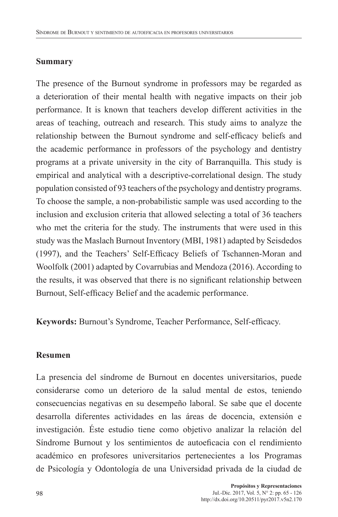#### **Summary**

The presence of the Burnout syndrome in professors may be regarded as a deterioration of their mental health with negative impacts on their job performance. It is known that teachers develop different activities in the areas of teaching, outreach and research. This study aims to analyze the relationship between the Burnout syndrome and self-efficacy beliefs and the academic performance in professors of the psychology and dentistry programs at a private university in the city of Barranquilla. This study is empirical and analytical with a descriptive-correlational design. The study population consisted of 93 teachers of the psychology and dentistry programs. To choose the sample, a non-probabilistic sample was used according to the inclusion and exclusion criteria that allowed selecting a total of 36 teachers who met the criteria for the study. The instruments that were used in this study was the Maslach Burnout Inventory (MBI, 1981) adapted by Seisdedos (1997), and the Teachers' Self-Efficacy Beliefs of Tschannen-Moran and Woolfolk (2001) adapted by Covarrubias and Mendoza (2016). According to the results, it was observed that there is no significant relationship between Burnout, Self-efficacy Belief and the academic performance.

**Keywords:** Burnout's Syndrome, Teacher Performance, Self-efficacy.

#### **Resumen**

La presencia del síndrome de Burnout en docentes universitarios, puede considerarse como un deterioro de la salud mental de estos, teniendo consecuencias negativas en su desempeño laboral. Se sabe que el docente desarrolla diferentes actividades en las áreas de docencia, extensión e investigación. Éste estudio tiene como objetivo analizar la relación del Síndrome Burnout y los sentimientos de autoeficacia con el rendimiento académico en profesores universitarios pertenecientes a los Programas de Psicología y Odontología de una Universidad privada de la ciudad de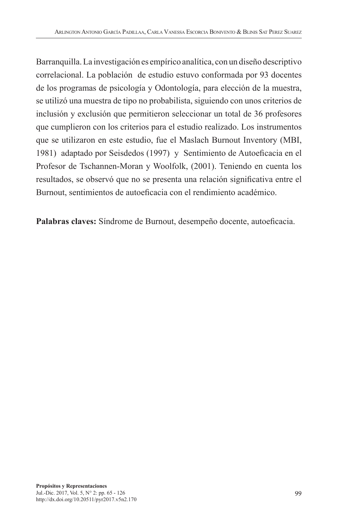Barranquilla. La investigación es empírico analítica, con un diseño descriptivo correlacional. La población de estudio estuvo conformada por 93 docentes de los programas de psicología y Odontología, para elección de la muestra, se utilizó una muestra de tipo no probabilista, siguiendo con unos criterios de inclusión y exclusión que permitieron seleccionar un total de 36 profesores que cumplieron con los criterios para el estudio realizado. Los instrumentos que se utilizaron en este estudio, fue el Maslach Burnout Inventory (MBI, 1981) adaptado por Seisdedos (1997) y Sentimiento de Autoeficacia en el Profesor de Tschannen-Moran y Woolfolk, (2001). Teniendo en cuenta los resultados, se observó que no se presenta una relación significativa entre el Burnout, sentimientos de autoeficacia con el rendimiento académico.

**Palabras claves:** Síndrome de Burnout, desempeño docente, autoeficacia.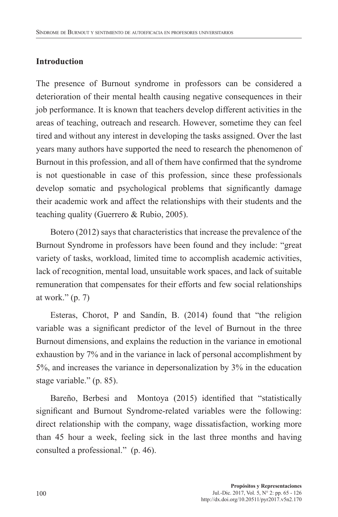## **Introduction**

The presence of Burnout syndrome in professors can be considered a deterioration of their mental health causing negative consequences in their job performance. It is known that teachers develop different activities in the areas of teaching, outreach and research. However, sometime they can feel tired and without any interest in developing the tasks assigned. Over the last years many authors have supported the need to research the phenomenon of Burnout in this profession, and all of them have confirmed that the syndrome is not questionable in case of this profession, since these professionals develop somatic and psychological problems that significantly damage their academic work and affect the relationships with their students and the teaching quality (Guerrero & Rubio, 2005).

Botero (2012) says that characteristics that increase the prevalence of the Burnout Syndrome in professors have been found and they include: "great variety of tasks, workload, limited time to accomplish academic activities, lack of recognition, mental load, unsuitable work spaces, and lack of suitable remuneration that compensates for their efforts and few social relationships at work." $(p, 7)$ 

Esteras, Chorot, P and Sandín, B. (2014) found that "the religion variable was a significant predictor of the level of Burnout in the three Burnout dimensions, and explains the reduction in the variance in emotional exhaustion by 7% and in the variance in lack of personal accomplishment by 5%, and increases the variance in depersonalization by 3% in the education stage variable." (p. 85).

Bareño, Berbesi and Montoya (2015) identified that "statistically significant and Burnout Syndrome-related variables were the following: direct relationship with the company, wage dissatisfaction, working more than 45 hour a week, feeling sick in the last three months and having consulted a professional." (p. 46).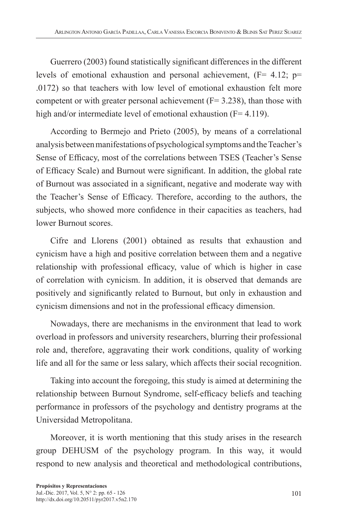Guerrero (2003) found statistically significant differences in the different levels of emotional exhaustion and personal achievement,  $(F= 4.12; p=$ .0172) so that teachers with low level of emotional exhaustion felt more competent or with greater personal achievement  $(F= 3.238)$ , than those with high and/or intermediate level of emotional exhaustion (F= 4.119).

According to Bermejo and Prieto (2005), by means of a correlational analysis between manifestations of psychological symptoms and the Teacher's Sense of Efficacy, most of the correlations between TSES (Teacher's Sense of Efficacy Scale) and Burnout were significant. In addition, the global rate of Burnout was associated in a significant, negative and moderate way with the Teacher's Sense of Efficacy. Therefore, according to the authors, the subjects, who showed more confidence in their capacities as teachers, had lower Burnout scores.

Cifre and Llorens (2001) obtained as results that exhaustion and cynicism have a high and positive correlation between them and a negative relationship with professional efficacy, value of which is higher in case of correlation with cynicism. In addition, it is observed that demands are positively and significantly related to Burnout, but only in exhaustion and cynicism dimensions and not in the professional efficacy dimension.

Nowadays, there are mechanisms in the environment that lead to work overload in professors and university researchers, blurring their professional role and, therefore, aggravating their work conditions, quality of working life and all for the same or less salary, which affects their social recognition.

Taking into account the foregoing, this study is aimed at determining the relationship between Burnout Syndrome, self-efficacy beliefs and teaching performance in professors of the psychology and dentistry programs at the Universidad Metropolitana.

Moreover, it is worth mentioning that this study arises in the research group DEHUSM of the psychology program. In this way, it would respond to new analysis and theoretical and methodological contributions,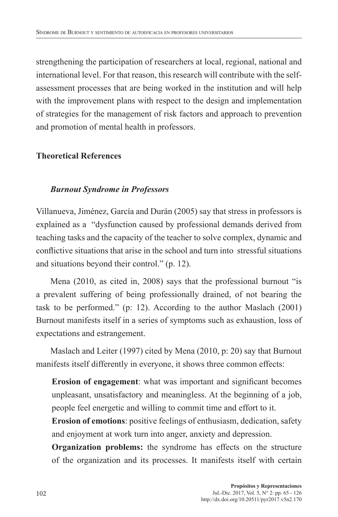strengthening the participation of researchers at local, regional, national and international level. For that reason, this research will contribute with the selfassessment processes that are being worked in the institution and will help with the improvement plans with respect to the design and implementation of strategies for the management of risk factors and approach to prevention and promotion of mental health in professors.

## **Theoretical References**

## *Burnout Syndrome in Professors*

Villanueva, Jiménez, García and Durán (2005) say that stress in professors is explained as a "dysfunction caused by professional demands derived from teaching tasks and the capacity of the teacher to solve complex, dynamic and conflictive situations that arise in the school and turn into stressful situations and situations beyond their control." (p. 12).

Mena (2010, as cited in, 2008) says that the professional burnout "is a prevalent suffering of being professionally drained, of not bearing the task to be performed." (p: 12). According to the author Maslach (2001) Burnout manifests itself in a series of symptoms such as exhaustion, loss of expectations and estrangement.

Maslach and Leiter (1997) cited by Mena (2010, p: 20) say that Burnout manifests itself differently in everyone, it shows three common effects:

**Erosion of engagement**: what was important and significant becomes unpleasant, unsatisfactory and meaningless. At the beginning of a job, people feel energetic and willing to commit time and effort to it.

**Erosion of emotions**: positive feelings of enthusiasm, dedication, safety and enjoyment at work turn into anger, anxiety and depression.

**Organization problems:** the syndrome has effects on the structure of the organization and its processes. It manifests itself with certain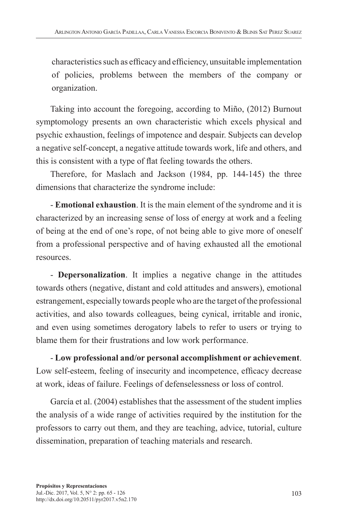characteristics such as efficacy and efficiency, unsuitable implementation of policies, problems between the members of the company or organization.

Taking into account the foregoing, according to Miño, (2012) Burnout symptomology presents an own characteristic which excels physical and psychic exhaustion, feelings of impotence and despair. Subjects can develop a negative self-concept, a negative attitude towards work, life and others, and this is consistent with a type of flat feeling towards the others.

Therefore, for Maslach and Jackson (1984, pp. 144-145) the three dimensions that characterize the syndrome include:

- **Emotional exhaustion**. It is the main element of the syndrome and it is characterized by an increasing sense of loss of energy at work and a feeling of being at the end of one's rope, of not being able to give more of oneself from a professional perspective and of having exhausted all the emotional resources.

- **Depersonalization**. It implies a negative change in the attitudes towards others (negative, distant and cold attitudes and answers), emotional estrangement, especially towards people who are the target of the professional activities, and also towards colleagues, being cynical, irritable and ironic, and even using sometimes derogatory labels to refer to users or trying to blame them for their frustrations and low work performance.

- **Low professional and/or personal accomplishment or achievement**. Low self-esteem, feeling of insecurity and incompetence, efficacy decrease at work, ideas of failure. Feelings of defenselessness or loss of control.

García et al. (2004) establishes that the assessment of the student implies the analysis of a wide range of activities required by the institution for the professors to carry out them, and they are teaching, advice, tutorial, culture dissemination, preparation of teaching materials and research.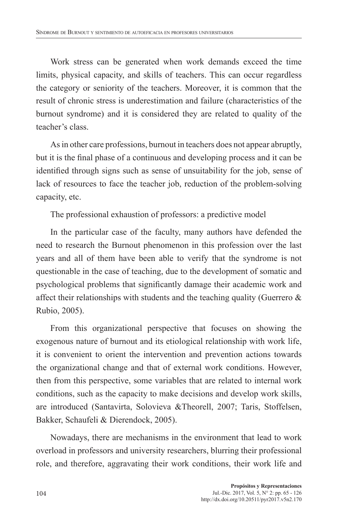Work stress can be generated when work demands exceed the time limits, physical capacity, and skills of teachers. This can occur regardless the category or seniority of the teachers. Moreover, it is common that the result of chronic stress is underestimation and failure (characteristics of the burnout syndrome) and it is considered they are related to quality of the teacher's class.

As in other care professions, burnout in teachers does not appear abruptly, but it is the final phase of a continuous and developing process and it can be identified through signs such as sense of unsuitability for the job, sense of lack of resources to face the teacher job, reduction of the problem-solving capacity, etc.

The professional exhaustion of professors: a predictive model

In the particular case of the faculty, many authors have defended the need to research the Burnout phenomenon in this profession over the last years and all of them have been able to verify that the syndrome is not questionable in the case of teaching, due to the development of somatic and psychological problems that significantly damage their academic work and affect their relationships with students and the teaching quality (Guerrero  $\&$ Rubio, 2005).

From this organizational perspective that focuses on showing the exogenous nature of burnout and its etiological relationship with work life, it is convenient to orient the intervention and prevention actions towards the organizational change and that of external work conditions. However, then from this perspective, some variables that are related to internal work conditions, such as the capacity to make decisions and develop work skills, are introduced (Santavirta, Solovieva &Theorell, 2007; Taris, Stoffelsen, Bakker, Schaufeli & Dierendock, 2005).

Nowadays, there are mechanisms in the environment that lead to work overload in professors and university researchers, blurring their professional role, and therefore, aggravating their work conditions, their work life and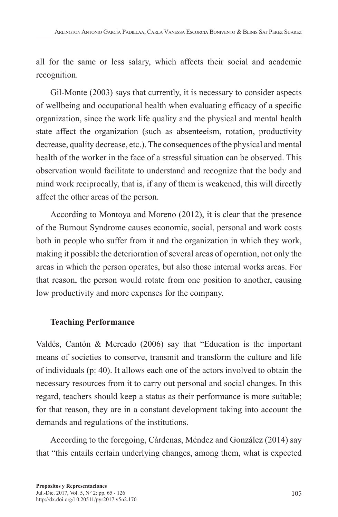all for the same or less salary, which affects their social and academic recognition.

Gil-Monte (2003) says that currently, it is necessary to consider aspects of wellbeing and occupational health when evaluating efficacy of a specific organization, since the work life quality and the physical and mental health state affect the organization (such as absenteeism, rotation, productivity decrease, quality decrease, etc.). The consequences of the physical and mental health of the worker in the face of a stressful situation can be observed. This observation would facilitate to understand and recognize that the body and mind work reciprocally, that is, if any of them is weakened, this will directly affect the other areas of the person.

According to Montoya and Moreno (2012), it is clear that the presence of the Burnout Syndrome causes economic, social, personal and work costs both in people who suffer from it and the organization in which they work, making it possible the deterioration of several areas of operation, not only the areas in which the person operates, but also those internal works areas. For that reason, the person would rotate from one position to another, causing low productivity and more expenses for the company.

#### **Teaching Performance**

Valdés, Cantón & Mercado (2006) say that "Education is the important means of societies to conserve, transmit and transform the culture and life of individuals (p: 40). It allows each one of the actors involved to obtain the necessary resources from it to carry out personal and social changes. In this regard, teachers should keep a status as their performance is more suitable; for that reason, they are in a constant development taking into account the demands and regulations of the institutions.

According to the foregoing, Cárdenas, Méndez and González (2014) say that "this entails certain underlying changes, among them, what is expected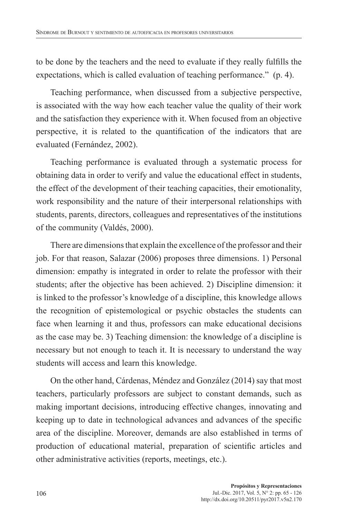to be done by the teachers and the need to evaluate if they really fulfills the expectations, which is called evaluation of teaching performance." (p. 4).

Teaching performance, when discussed from a subjective perspective, is associated with the way how each teacher value the quality of their work and the satisfaction they experience with it. When focused from an objective perspective, it is related to the quantification of the indicators that are evaluated (Fernández, 2002).

Teaching performance is evaluated through a systematic process for obtaining data in order to verify and value the educational effect in students, the effect of the development of their teaching capacities, their emotionality, work responsibility and the nature of their interpersonal relationships with students, parents, directors, colleagues and representatives of the institutions of the community (Valdés, 2000).

There are dimensions that explain the excellence of the professor and their job. For that reason, Salazar (2006) proposes three dimensions. 1) Personal dimension: empathy is integrated in order to relate the professor with their students; after the objective has been achieved. 2) Discipline dimension: it is linked to the professor's knowledge of a discipline, this knowledge allows the recognition of epistemological or psychic obstacles the students can face when learning it and thus, professors can make educational decisions as the case may be. 3) Teaching dimension: the knowledge of a discipline is necessary but not enough to teach it. It is necessary to understand the way students will access and learn this knowledge.

On the other hand, Cárdenas, Méndez and González (2014) say that most teachers, particularly professors are subject to constant demands, such as making important decisions, introducing effective changes, innovating and keeping up to date in technological advances and advances of the specific area of the discipline. Moreover, demands are also established in terms of production of educational material, preparation of scientific articles and other administrative activities (reports, meetings, etc.).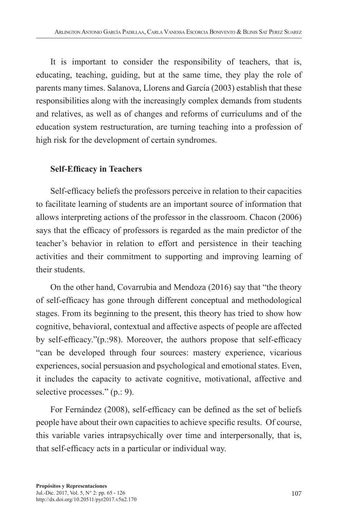It is important to consider the responsibility of teachers, that is, educating, teaching, guiding, but at the same time, they play the role of parents many times. Salanova, Llorens and García (2003) establish that these responsibilities along with the increasingly complex demands from students and relatives, as well as of changes and reforms of curriculums and of the education system restructuration, are turning teaching into a profession of high risk for the development of certain syndromes.

#### **Self-Efficacy in Teachers**

Self-efficacy beliefs the professors perceive in relation to their capacities to facilitate learning of students are an important source of information that allows interpreting actions of the professor in the classroom. Chacon (2006) says that the efficacy of professors is regarded as the main predictor of the teacher's behavior in relation to effort and persistence in their teaching activities and their commitment to supporting and improving learning of their students.

On the other hand, Covarrubia and Mendoza (2016) say that "the theory of self-efficacy has gone through different conceptual and methodological stages. From its beginning to the present, this theory has tried to show how cognitive, behavioral, contextual and affective aspects of people are affected by self-efficacy."(p.:98). Moreover, the authors propose that self-efficacy "can be developed through four sources: mastery experience, vicarious experiences, social persuasion and psychological and emotional states. Even, it includes the capacity to activate cognitive, motivational, affective and selective processes." (p.: 9).

For Fernández (2008), self-efficacy can be defined as the set of beliefs people have about their own capacities to achieve specific results. Of course, this variable varies intrapsychically over time and interpersonally, that is, that self-efficacy acts in a particular or individual way.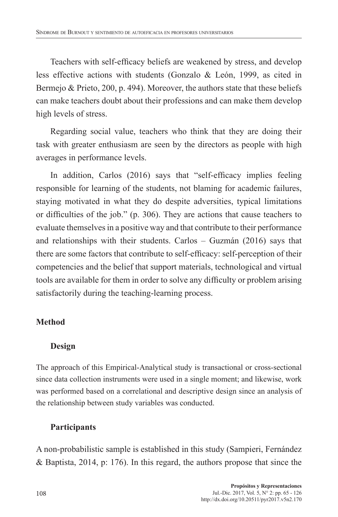Teachers with self-efficacy beliefs are weakened by stress, and develop less effective actions with students (Gonzalo & León, 1999, as cited in Bermejo & Prieto, 200, p. 494). Moreover, the authors state that these beliefs can make teachers doubt about their professions and can make them develop high levels of stress.

Regarding social value, teachers who think that they are doing their task with greater enthusiasm are seen by the directors as people with high averages in performance levels.

In addition, Carlos (2016) says that "self-efficacy implies feeling responsible for learning of the students, not blaming for academic failures, staying motivated in what they do despite adversities, typical limitations or difficulties of the job." (p. 306). They are actions that cause teachers to evaluate themselves in a positive way and that contribute to their performance and relationships with their students. Carlos – Guzmán (2016) says that there are some factors that contribute to self-efficacy: self-perception of their competencies and the belief that support materials, technological and virtual tools are available for them in order to solve any difficulty or problem arising satisfactorily during the teaching-learning process.

## **Method**

## **Design**

The approach of this Empirical-Analytical study is transactional or cross-sectional since data collection instruments were used in a single moment; and likewise, work was performed based on a correlational and descriptive design since an analysis of the relationship between study variables was conducted.

## **Participants**

A non-probabilistic sample is established in this study (Sampieri, Fernández & Baptista, 2014, p: 176). In this regard, the authors propose that since the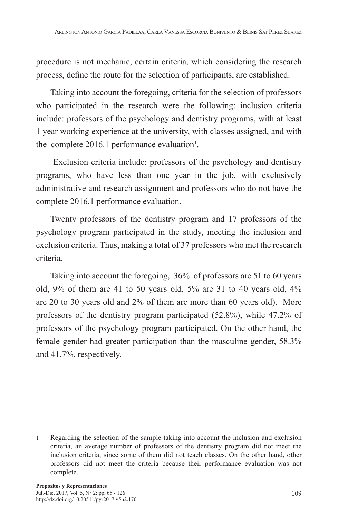procedure is not mechanic, certain criteria, which considering the research process, define the route for the selection of participants, are established.

Taking into account the foregoing, criteria for the selection of professors who participated in the research were the following: inclusion criteria include: professors of the psychology and dentistry programs, with at least 1 year working experience at the university, with classes assigned, and with the complete  $2016.1$  performance evaluation<sup>1</sup>.

 Exclusion criteria include: professors of the psychology and dentistry programs, who have less than one year in the job, with exclusively administrative and research assignment and professors who do not have the complete 2016.1 performance evaluation.

Twenty professors of the dentistry program and 17 professors of the psychology program participated in the study, meeting the inclusion and exclusion criteria. Thus, making a total of 37 professors who met the research criteria.

Taking into account the foregoing, 36% of professors are 51 to 60 years old,  $9\%$  of them are 41 to 50 years old,  $5\%$  are 31 to 40 years old,  $4\%$ are 20 to 30 years old and 2% of them are more than 60 years old). More professors of the dentistry program participated (52.8%), while 47.2% of professors of the psychology program participated. On the other hand, the female gender had greater participation than the masculine gender, 58.3% and 41.7%, respectively.

<sup>1</sup> Regarding the selection of the sample taking into account the inclusion and exclusion criteria, an average number of professors of the dentistry program did not meet the inclusion criteria, since some of them did not teach classes. On the other hand, other professors did not meet the criteria because their performance evaluation was not complete.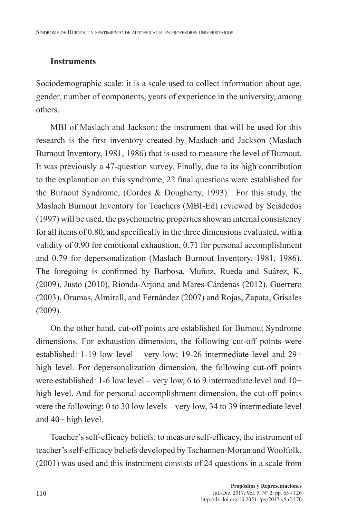#### **Instruments**

Sociodemographic scale: it is a scale used to collect information about age, gender, number of components, years of experience in the university, among others.

MBI of Maslach and Jackson: the instrument that will be used for this research is the first inventory created by Maslach and Jackson (Maslach Burnout Inventory, 1981, 1986) that is used to measure the level of Burnout. It was previously a 47-question survey. Finally, due to its high contribution to the explanation on this syndrome, 22 final questions were established for the Burnout Syndrome, (Cordes & Dougherty, 1993). For this study, the Maslach Burnout Inventory for Teachers (MBI-Ed) reviewed by Seisdedos (1997) will be used, the psychometric properties show an internal consistency for all items of 0.80, and specifically in the three dimensions evaluated, with a validity of 0.90 for emotional exhaustion, 0.71 for personal accomplishment and 0.79 for depersonalization (Maslach Burnout Inventory, 1981, 1986). The foregoing is confirmed by Barbosa, Muñoz, Rueda and Suárez, K. (2009), Justo (2010), Rionda-Arjona and Mares-Cárdenas (2012), Guerrero (2003), Oramas, Almirall, and Fernández (2007) and Rojas, Zapata, Grisales (2009).

On the other hand, cut-off points are established for Burnout Syndrome dimensions. For exhaustion dimension, the following cut-off points were established: 1-19 low level – very low; 19-26 intermediate level and 29+ high level. For depersonalization dimension, the following cut-off points were established: 1-6 low level – very low, 6 to 9 intermediate level and 10+ high level. And for personal accomplishment dimension, the cut-off points were the following: 0 to 30 low levels – very low, 34 to 39 intermediate level and 40+ high level.

Teacher's self-efficacy beliefs: to measure self-efficacy, the instrument of teacher's self-efficacy beliefs developed by Tschannen-Moran and Woolfolk, (2001) was used and this instrument consists of 24 questions in a scale from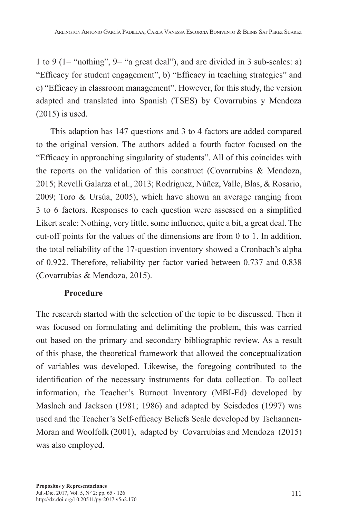1 to 9 (1= "nothing",  $9=$  "a great deal"), and are divided in 3 sub-scales: a) "Efficacy for student engagement", b) "Efficacy in teaching strategies" and c) "Efficacy in classroom management". However, for this study, the version adapted and translated into Spanish (TSES) by Covarrubias y Mendoza (2015) is used.

This adaption has 147 questions and 3 to 4 factors are added compared to the original version. The authors added a fourth factor focused on the "Efficacy in approaching singularity of students". All of this coincides with the reports on the validation of this construct (Covarrubias & Mendoza, 2015; Revelli Galarza et al., 2013; Rodríguez, Núñez, Valle, Blas, & Rosario, 2009; Toro & Ursúa, 2005), which have shown an average ranging from 3 to 6 factors. Responses to each question were assessed on a simplified Likert scale: Nothing, very little, some influence, quite a bit, a great deal. The cut-off points for the values of the dimensions are from 0 to 1. In addition, the total reliability of the 17-question inventory showed a Cronbach's alpha of 0.922. Therefore, reliability per factor varied between 0.737 and 0.838 (Covarrubias & Mendoza, 2015).

#### **Procedure**

The research started with the selection of the topic to be discussed. Then it was focused on formulating and delimiting the problem, this was carried out based on the primary and secondary bibliographic review. As a result of this phase, the theoretical framework that allowed the conceptualization of variables was developed. Likewise, the foregoing contributed to the identification of the necessary instruments for data collection. To collect information, the Teacher's Burnout Inventory (MBI-Ed) developed by Maslach and Jackson (1981; 1986) and adapted by Seisdedos (1997) was used and the Teacher's Self-efficacy Beliefs Scale developed by Tschannen-Moran and Woolfolk (2001), adapted by Covarrubias and Mendoza (2015) was also employed.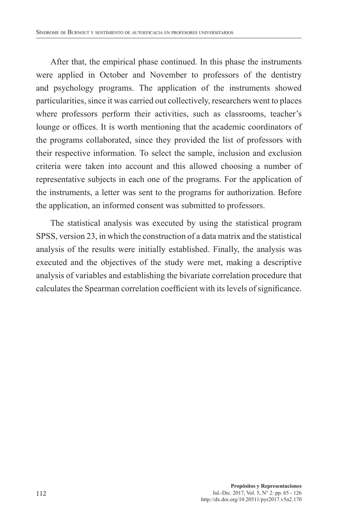After that, the empirical phase continued. In this phase the instruments were applied in October and November to professors of the dentistry and psychology programs. The application of the instruments showed particularities, since it was carried out collectively, researchers went to places where professors perform their activities, such as classrooms, teacher's lounge or offices. It is worth mentioning that the academic coordinators of the programs collaborated, since they provided the list of professors with their respective information. To select the sample, inclusion and exclusion criteria were taken into account and this allowed choosing a number of representative subjects in each one of the programs. For the application of the instruments, a letter was sent to the programs for authorization. Before the application, an informed consent was submitted to professors.

The statistical analysis was executed by using the statistical program SPSS, version 23, in which the construction of a data matrix and the statistical analysis of the results were initially established. Finally, the analysis was executed and the objectives of the study were met, making a descriptive analysis of variables and establishing the bivariate correlation procedure that calculates the Spearman correlation coefficient with its levels of significance.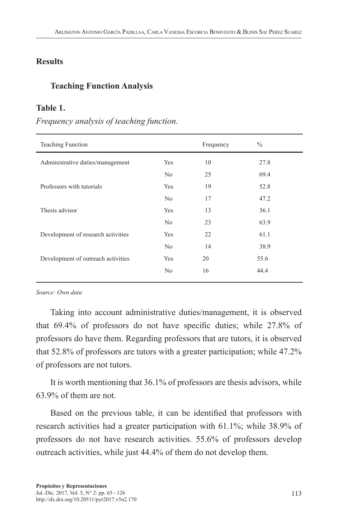#### **Results**

#### **Teaching Function Analysis**

#### **Table 1.**

#### *Frequency analysis of teaching function.*

| Teaching Function                  |                | Frequency | $\frac{0}{0}$ |  |
|------------------------------------|----------------|-----------|---------------|--|
| Administrative duties/management   | Yes            | 10        | 27.8          |  |
|                                    | N <sub>0</sub> | 25        | 69.4          |  |
| Professors with tutorials          | Yes            | 19        | 52.8          |  |
|                                    | N <sub>o</sub> | 17        | 47.2          |  |
| Thesis advisor                     | Yes            | 13        | 36.1          |  |
|                                    | N <sub>o</sub> | 23        | 63.9          |  |
| Development of research activities | Yes            | 22        | 61.1          |  |
|                                    | N <sub>o</sub> | 14        | 38.9          |  |
| Development of outreach activities | Yes            | 20        | 55.6          |  |
|                                    | No             | 16        | 44.4          |  |
|                                    |                |           |               |  |

*Source: Own data*

Taking into account administrative duties/management, it is observed that 69.4% of professors do not have specific duties; while 27.8% of professors do have them. Regarding professors that are tutors, it is observed that 52.8% of professors are tutors with a greater participation; while 47.2% of professors are not tutors.

It is worth mentioning that 36.1% of professors are thesis advisors, while 63.9% of them are not.

Based on the previous table, it can be identified that professors with research activities had a greater participation with 61.1%; while 38.9% of professors do not have research activities. 55.6% of professors develop outreach activities, while just 44.4% of them do not develop them.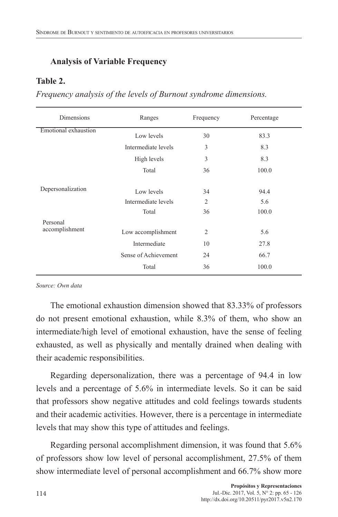## **Analysis of Variable Frequency**

#### **Table 2.**

*Frequency analysis of the levels of Burnout syndrome dimensions.*

| Dimensions                  | Ranges               | Frequency      | Percentage |  |
|-----------------------------|----------------------|----------------|------------|--|
| <b>Emotional</b> exhaustion | Low levels           | 30             | 83.3       |  |
|                             | Intermediate levels  | 3              | 8.3        |  |
|                             | High levels          | 3              | 8.3        |  |
|                             | Total                | 36             | 100.0      |  |
| Depersonalization           | Low levels           | 34             | 94.4       |  |
|                             | Intermediate levels  | $\overline{2}$ | 5.6        |  |
|                             | Total                | 36             | 100.0      |  |
| Personal                    |                      |                |            |  |
| accomplishment              | Low accomplishment   | $\overline{2}$ | 5.6        |  |
|                             | Intermediate         | 10             | 27.8       |  |
|                             | Sense of Achievement | 24             | 66.7       |  |
|                             | Total                | 36             | 100.0      |  |

*Source: Own data*

The emotional exhaustion dimension showed that 83.33% of professors do not present emotional exhaustion, while 8.3% of them, who show an intermediate/high level of emotional exhaustion, have the sense of feeling exhausted, as well as physically and mentally drained when dealing with their academic responsibilities.

Regarding depersonalization, there was a percentage of 94.4 in low levels and a percentage of 5.6% in intermediate levels. So it can be said that professors show negative attitudes and cold feelings towards students and their academic activities. However, there is a percentage in intermediate levels that may show this type of attitudes and feelings.

Regarding personal accomplishment dimension, it was found that 5.6% of professors show low level of personal accomplishment, 27.5% of them show intermediate level of personal accomplishment and 66.7% show more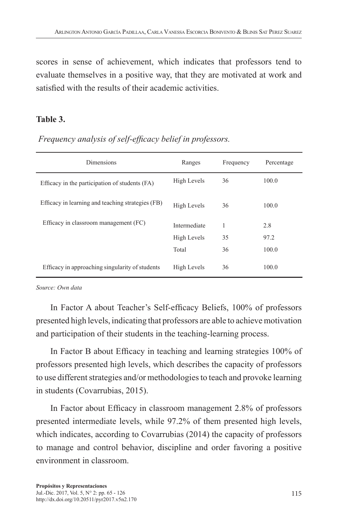scores in sense of achievement, which indicates that professors tend to evaluate themselves in a positive way, that they are motivated at work and satisfied with the results of their academic activities.

#### **Table 3.**

| <b>Dimensions</b>                                 | Ranges       | Frequency | Percentage |
|---------------------------------------------------|--------------|-----------|------------|
| Efficacy in the participation of students (FA)    | High Levels  | 36        | 100.0      |
| Efficacy in learning and teaching strategies (FB) | High Levels  | 36        | 100.0      |
| Efficacy in classroom management (FC)             | Intermediate | 1         | 2.8        |
|                                                   | High Levels  | 35        | 97.2       |
|                                                   | Total        | 36        | 100.0      |
| Efficacy in approaching singularity of students   | High Levels  | 36        | 100.0      |

*Frequency analysis of self-efficacy belief in professors.*

*Source: Own data*

In Factor A about Teacher's Self-efficacy Beliefs, 100% of professors presented high levels, indicating that professors are able to achieve motivation and participation of their students in the teaching-learning process.

In Factor B about Efficacy in teaching and learning strategies 100% of professors presented high levels, which describes the capacity of professors to use different strategies and/or methodologies to teach and provoke learning in students (Covarrubias, 2015).

In Factor about Efficacy in classroom management 2.8% of professors presented intermediate levels, while 97.2% of them presented high levels, which indicates, according to Covarrubias (2014) the capacity of professors to manage and control behavior, discipline and order favoring a positive environment in classroom.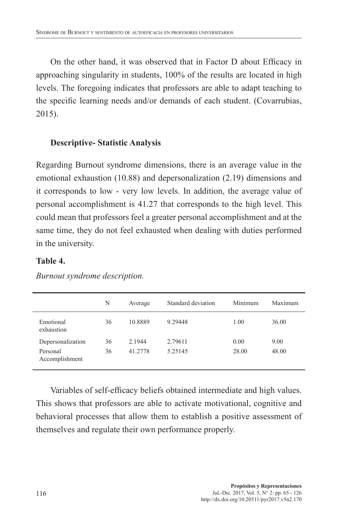On the other hand, it was observed that in Factor D about Efficacy in approaching singularity in students, 100% of the results are located in high levels. The foregoing indicates that professors are able to adapt teaching to the specific learning needs and/or demands of each student. (Covarrubias, 2015).

#### **Descriptive- Statistic Analysis**

Regarding Burnout syndrome dimensions, there is an average value in the emotional exhaustion (10.88) and depersonalization (2.19) dimensions and it corresponds to low - very low levels. In addition, the average value of personal accomplishment is 41.27 that corresponds to the high level. This could mean that professors feel a greater personal accomplishment and at the same time, they do not feel exhausted when dealing with duties performed in the university.

#### **Table 4.**

|                            | N  | Average | Standard deviation | Minimum | Maximum |
|----------------------------|----|---------|--------------------|---------|---------|
| Emotional<br>exhaustion    | 36 | 10.8889 | 9.29448            | 1.00    | 36.00   |
| Depersonalization          | 36 | 2.1944  | 2.79611            | 0.00    | 9.00    |
| Personal<br>Accomplishment | 36 | 41.2778 | 5.25145            | 28.00   | 48.00   |

*Burnout syndrome description.*

Variables of self-efficacy beliefs obtained intermediate and high values. This shows that professors are able to activate motivational, cognitive and behavioral processes that allow them to establish a positive assessment of themselves and regulate their own performance properly.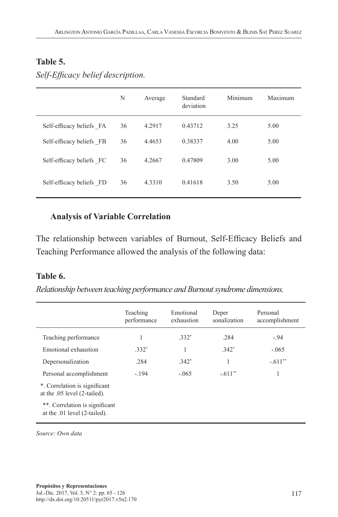#### **Table 5.**

|                          | N  | Average | Standard<br>deviation | Minimum | Maximum |
|--------------------------|----|---------|-----------------------|---------|---------|
| Self-efficacy beliefs FA | 36 | 4.2917  | 0.43712               | 3.25    | 5.00    |
| Self-efficacy beliefs FB | 36 | 4.4653  | 0.38337               | 4.00    | 5.00    |
| Self-efficacy beliefs FC | 36 | 4.2667  | 0.47809               | 3.00    | 5.00    |

*Self-Efficacy belief description.*

## **Analysis of Variable Correlation**

The relationship between variables of Burnout, Self-Efficacy Beliefs and Teaching Performance allowed the analysis of the following data:

Self-efficacy beliefs FD 36 4.3310 0.41618 3.50 5.00

#### **Table 6.**

*Relationship between teaching performance and Burnout syndrome dimensions.*

|                                                                | Teaching<br>performance | Emotional<br>exhaustion | Deper<br>sonalization | Personal<br>accomplishment |
|----------------------------------------------------------------|-------------------------|-------------------------|-----------------------|----------------------------|
| Teaching performance                                           |                         | $332*$                  | .284                  | $-94$                      |
| Emotional exhaustion                                           | $.332*$                 | 1                       | $.342*$               | $-.065$                    |
| Depersonalization                                              | .284                    | $.342*$                 | 1                     | $-611**$                   |
| Personal accomplishment                                        | $-.194$                 | $-.065$                 | $-611**$              | 1                          |
| *. Correlation is significant<br>at the .05 level (2-tailed).  |                         |                         |                       |                            |
| **. Correlation is significant<br>at the .01 level (2-tailed). |                         |                         |                       |                            |

*Source: Own data*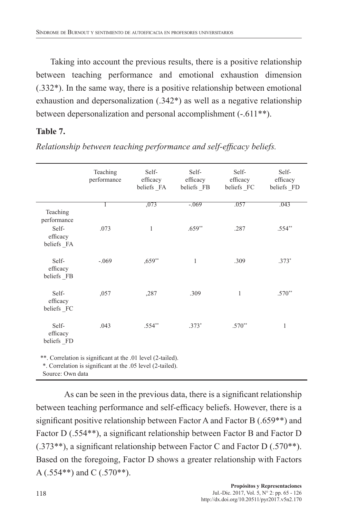Taking into account the previous results, there is a positive relationship between teaching performance and emotional exhaustion dimension (.332\*). In the same way, there is a positive relationship between emotional exhaustion and depersonalization (.342\*) as well as a negative relationship between depersonalization and personal accomplishment (-.611\*\*).

## **Table 7.**

|                                                             | Teaching<br>performance | Self-<br>efficacy<br>beliefs FA | Self-<br>efficacy<br>beliefs FB | Self-<br>efficacy<br>beliefs FC | Self-<br>efficacy<br>beliefs FD |  |
|-------------------------------------------------------------|-------------------------|---------------------------------|---------------------------------|---------------------------------|---------------------------------|--|
| Teaching<br>performance                                     |                         | ,073                            | $-069$                          | .057                            | .043                            |  |
| Self-<br>efficacy<br>beliefs FA                             | .073                    | 1                               | $.659**$                        | .287                            | $.554**$                        |  |
| Self-<br>efficacy<br>beliefs FB                             | $-.069$                 | $,659**$                        | $\mathbf{1}$                    | .309                            | $.373*$                         |  |
| Self-<br>efficacy<br>beliefs FC                             | ,057                    | ,287                            | .309                            | 1                               | $.570**$                        |  |
| Self-<br>efficacy<br>beliefs FD                             | .043                    | $.554**$                        | $.373*$                         | $.570**$                        | 1                               |  |
| **. Correlation is significant at the .01 level (2-tailed). |                         |                                 |                                 |                                 |                                 |  |

*Relationship between teaching performance and self-efficacy beliefs.*

\*\*. Correlation is significant at the .01 level (2-tailed). \*. Correlation is significant at the .05 level (2-tailed).

Source: Own data

As can be seen in the previous data, there is a significant relationship between teaching performance and self-efficacy beliefs. However, there is a significant positive relationship between Factor A and Factor B (.659\*\*) and Factor D (.554<sup>\*\*</sup>), a significant relationship between Factor B and Factor D (.373\*\*), a significant relationship between Factor C and Factor D (.570\*\*). Based on the foregoing, Factor D shows a greater relationship with Factors  $A(.554**)$  and C  $(.570**)$ .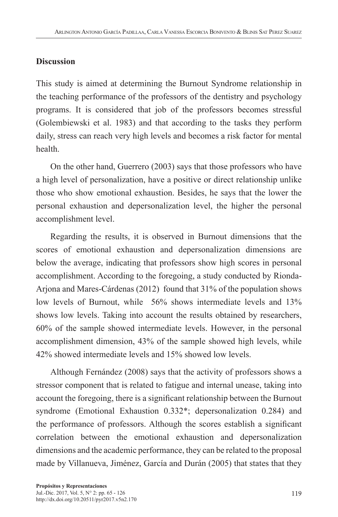## **Discussion**

This study is aimed at determining the Burnout Syndrome relationship in the teaching performance of the professors of the dentistry and psychology programs. It is considered that job of the professors becomes stressful (Golembiewski et al. 1983) and that according to the tasks they perform daily, stress can reach very high levels and becomes a risk factor for mental health.

On the other hand, Guerrero (2003) says that those professors who have a high level of personalization, have a positive or direct relationship unlike those who show emotional exhaustion. Besides, he says that the lower the personal exhaustion and depersonalization level, the higher the personal accomplishment level.

Regarding the results, it is observed in Burnout dimensions that the scores of emotional exhaustion and depersonalization dimensions are below the average, indicating that professors show high scores in personal accomplishment. According to the foregoing, a study conducted by Rionda-Arjona and Mares-Cárdenas (2012) found that 31% of the population shows low levels of Burnout, while 56% shows intermediate levels and 13% shows low levels. Taking into account the results obtained by researchers, 60% of the sample showed intermediate levels. However, in the personal accomplishment dimension, 43% of the sample showed high levels, while 42% showed intermediate levels and 15% showed low levels.

Although Fernández (2008) says that the activity of professors shows a stressor component that is related to fatigue and internal unease, taking into account the foregoing, there is a significant relationship between the Burnout syndrome (Emotional Exhaustion 0.332\*; depersonalization 0.284) and the performance of professors. Although the scores establish a significant correlation between the emotional exhaustion and depersonalization dimensions and the academic performance, they can be related to the proposal made by Villanueva, Jiménez, García and Durán (2005) that states that they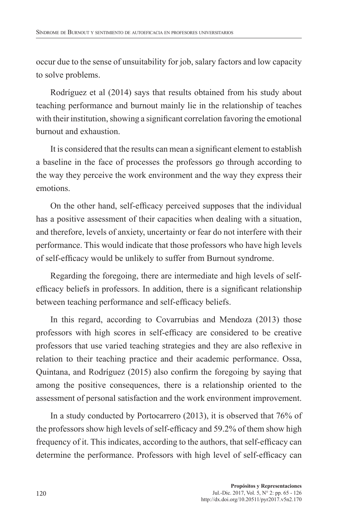occur due to the sense of unsuitability for job, salary factors and low capacity to solve problems.

Rodríguez et al (2014) says that results obtained from his study about teaching performance and burnout mainly lie in the relationship of teaches with their institution, showing a significant correlation favoring the emotional burnout and exhaustion.

It is considered that the results can mean a significant element to establish a baseline in the face of processes the professors go through according to the way they perceive the work environment and the way they express their emotions.

On the other hand, self-efficacy perceived supposes that the individual has a positive assessment of their capacities when dealing with a situation, and therefore, levels of anxiety, uncertainty or fear do not interfere with their performance. This would indicate that those professors who have high levels of self-efficacy would be unlikely to suffer from Burnout syndrome.

Regarding the foregoing, there are intermediate and high levels of selfefficacy beliefs in professors. In addition, there is a significant relationship between teaching performance and self-efficacy beliefs.

In this regard, according to Covarrubias and Mendoza (2013) those professors with high scores in self-efficacy are considered to be creative professors that use varied teaching strategies and they are also reflexive in relation to their teaching practice and their academic performance. Ossa, Quintana, and Rodríguez (2015) also confirm the foregoing by saying that among the positive consequences, there is a relationship oriented to the assessment of personal satisfaction and the work environment improvement.

In a study conducted by Portocarrero (2013), it is observed that 76% of the professors show high levels of self-efficacy and 59.2% of them show high frequency of it. This indicates, according to the authors, that self-efficacy can determine the performance. Professors with high level of self-efficacy can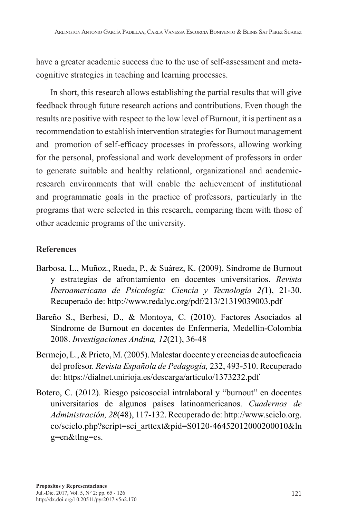have a greater academic success due to the use of self-assessment and metacognitive strategies in teaching and learning processes.

In short, this research allows establishing the partial results that will give feedback through future research actions and contributions. Even though the results are positive with respect to the low level of Burnout, it is pertinent as a recommendation to establish intervention strategies for Burnout management and promotion of self-efficacy processes in professors, allowing working for the personal, professional and work development of professors in order to generate suitable and healthy relational, organizational and academicresearch environments that will enable the achievement of institutional and programmatic goals in the practice of professors, particularly in the programs that were selected in this research, comparing them with those of other academic programs of the university.

## **References**

- Barbosa, L., Muñoz., Rueda, P., & Suárez, K. (2009). Síndrome de Burnout y estrategias de afrontamiento en docentes universitarios. *Revista Iberoamericana de Psicología: Ciencia y Tecnología 2(*1), 21-30. Recuperado de: http://www.redalyc.org/pdf/213/21319039003.pdf
- Bareño S., Berbesi, D., & Montoya, C. (2010). Factores Asociados al Síndrome de Burnout en docentes de Enfermería, Medellín-Colombia 2008. *Investigaciones Andina, 12*(21), 36-48
- Bermejo, L., & Prieto, M. (2005). Malestar docente y creencias de autoeficacia del profesor. *Revista Española de Pedagogía,* 232, 493-510. Recuperado de: https://dialnet.unirioja.es/descarga/articulo/1373232.pdf
- Botero, C. (2012). Riesgo psicosocial intralaboral y "burnout" en docentes universitarios de algunos países latinoamericanos. *Cuadernos de Administración, 28*(48), 117-132. Recuperado de: http://www.scielo.org. co/scielo.php?script=sci\_arttext&pid=S0120-46452012000200010&ln g=en&tlng=es.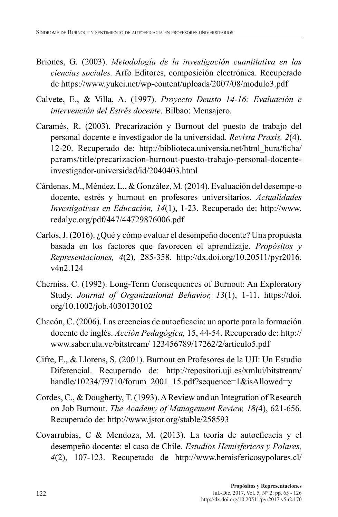- Briones, G. (2003). *Metodología de la investigación cuantitativa en las ciencias sociales.* Arfo Editores, composición electrónica. Recuperado de https://www.yukei.net/wp-content/uploads/2007/08/modulo3.pdf
- Calvete, E., & Villa, A. (1997). *Proyecto Deusto 14-16: Evaluación e intervención del Estrés docente*. Bilbao: Mensajero.
- Caramés, R. (2003). Precarización y Burnout del puesto de trabajo del personal docente e investigador de la universidad. *Revista Praxis, 2*(4), 12-20. Recuperado de: http://biblioteca.universia.net/html\_bura/ficha/ params/title/precarizacion-burnout-puesto-trabajo-personal-docenteinvestigador-universidad/id/2040403.html
- Cárdenas, M., Méndez, L., & González, M. (2014). Evaluación del desempe-o docente, estrés y burnout en profesores universitarios. *Actualidades Investigativas en Educación, 14*(1), 1-23. Recuperado de: http://www. redalyc.org/pdf/447/44729876006.pdf
- Carlos, J. (2016). ¿Qué y cómo evaluar el desempeño docente? Una propuesta basada en los factores que favorecen el aprendizaje. *Propósitos y Representaciones, 4*(2), 285-358. http://dx.doi.org/10.20511/pyr2016. v4n2.124
- Cherniss, C. (1992). Long-Term Consequences of Burnout: An Exploratory Study. *Journal of Organizational Behavior, 13*(1), 1-11. https://doi. org/10.1002/job.4030130102
- Chacón, C. (2006). Las creencias de autoeficacia: un aporte para la formación docente de inglés. *Acción Pedagógica,* 15, 44-54. Recuperado de: http:// www.saber.ula.ve/bitstream/ 123456789/17262/2/articulo5.pdf
- Cifre, E., & Llorens, S. (2001). Burnout en Profesores de la UJI: Un Estudio Diferencial. Recuperado de: http://repositori.uji.es/xmlui/bitstream/ handle/10234/79710/forum\_2001\_15.pdf?sequence=1&isAllowed=y
- Cordes, C., & Dougherty, T. (1993). A Review and an Integration of Research on Job Burnout. *The Academy of Management Review, 18(*4), 621-656. Recuperado de: http://www.jstor.org/stable/258593
- Covarrubias, C & Mendoza, M. (2013). La teoría de autoeficacia y el desempeño docente: el caso de Chile. *Estudios Hemisfericos y Polares, 4*(2), 107-123. Recuperado de http://www.hemisfericosypolares.cl/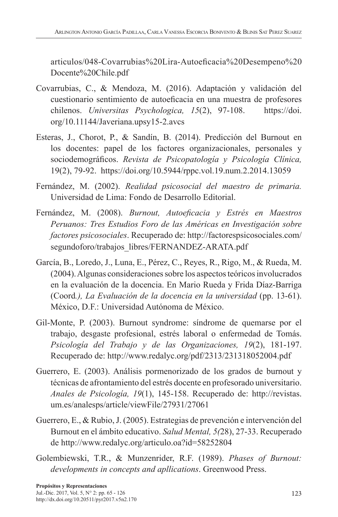articulos/048-Covarrubias%20Lira-Autoeficacia%20Desempeno%20 Docente%20Chile.pdf

- Covarrubias, C., & Mendoza, M. (2016). Adaptación y validación del cuestionario sentimiento de autoeficacia en una muestra de profesores chilenos. *Universitas Psychologica, 15*(2), 97-108. https://doi. org/10.11144/Javeriana.upsy15-2.avcs
- Esteras, J., Chorot, P., & Sandín, B. (2014). Predicción del Burnout en los docentes: papel de los factores organizacionales, personales y sociodemográficos. *Revista de Psicopatología y Psicología Clínica,*  19(2), 79-92. https://doi.org/10.5944/rppc.vol.19.num.2.2014.13059
- Fernández, M. (2002). *Realidad psicosocial del maestro de primaria.* Universidad de Lima: Fondo de Desarrollo Editorial.
- Fernández, M. (2008). *Burnout, Autoeficacia y Estrés en Maestros Peruanos: Tres Estudios Foro de las Américas en Investigación sobre factores psicosociales*. Recuperado de: http://factorespsicosociales.com/ segundoforo/trabajos\_libres/FERNANDEZ-ARATA.pdf
- García, B., Loredo, J., Luna, E., Pérez, C., Reyes, R., Rigo, M., & Rueda, M. (2004). Algunas consideraciones sobre los aspectos teóricos involucrados en la evaluación de la docencia. En Mario Rueda y Frida Díaz-Barriga (Coord*.), La Evaluación de la docencia en la universidad* (pp. 13-61). México, D.F.: Universidad Autónoma de México.
- Gil-Monte, P. (2003). Burnout syndrome: síndrome de quemarse por el trabajo, desgaste profesional, estrés laboral o enfermedad de Tomás. *Psicología del Trabajo y de las Organizaciones, 19*(2), 181-197. Recuperado de: http://www.redalyc.org/pdf/2313/231318052004.pdf
- Guerrero, E. (2003). Análisis pormenorizado de los grados de burnout y técnicas de afrontamiento del estrés docente en profesorado universitario. *Anales de Psicología, 19*(1), 145-158. Recuperado de: http://revistas. um.es/analesps/article/viewFile/27931/27061
- Guerrero, E., & Rubio, J. (2005). Estrategias de prevención e intervención del Burnout en el ámbito educativo. *Salud Mental, 5(*28), 27-33. Recuperado de http://www.redalyc.org/articulo.oa?id=58252804
- Golembiewski, T.R., & Munzenrider, R.F. (1989). *Phases of Burnout: developments in concepts and apllications*. Greenwood Press.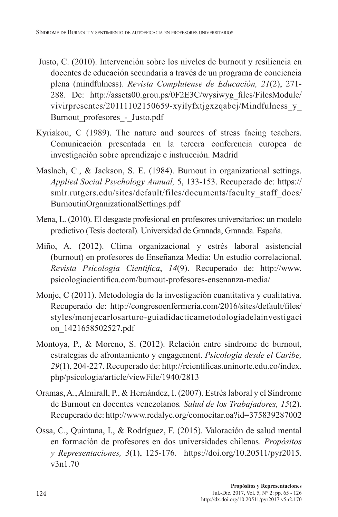- Justo, C. (2010). Intervención sobre los niveles de burnout y resiliencia en docentes de educación secundaria a través de un programa de conciencia plena (mindfulness). *Revista Complutense de Educación, 21*(2), 271- 288. De: http://assets00.grou.ps/0F2E3C/wysiwyg\_files/FilesModule/ vivirpresentes/20111102150659-xyilyfxtjgxzqabej/Mindfulness\_y\_ Burnout profesores - Justo.pdf
- Kyriakou, C (1989). The nature and sources of stress facing teachers. Comunicación presentada en la tercera conferencia europea de investigación sobre aprendizaje e instrucción. Madrid
- Maslach, C., & Jackson, S. E. (1984). Burnout in organizational settings. *Applied Social Psychology Annual,* 5, 133-153. Recuperado de: https:// smlr.rutgers.edu/sites/default/files/documents/faculty\_staff\_docs/ BurnoutinOrganizationalSettings.pdf
- Mena, L. (2010). El desgaste profesional en profesores universitarios: un modelo predictivo (Tesis doctoral). Universidad de Granada, Granada. España.
- Miño, A. (2012). Clima organizacional y estrés laboral asistencial (burnout) en profesores de Enseñanza Media: Un estudio correlacional. *Revista Psicologia Cientifica*, *14*(9). Recuperado de: http://www. psicologiacientifica.com/burnout-profesores-ensenanza-media/
- Monje, C (2011). Metodología de la investigación cuantitativa y cualitativa. Recuperado de: http://congresoenfermeria.com/2016/sites/default/files/ styles/monjecarlosarturo-guiadidacticametodologiadelainvestigaci on\_1421658502527.pdf
- Montoya, P., & Moreno, S. (2012). Relación entre síndrome de burnout, estrategias de afrontamiento y engagement. *Psicología desde el Caribe, 29*(1), 204-227. Recuperado de: http://rcientificas.uninorte.edu.co/index. php/psicologia/article/viewFile/1940/2813
- Oramas, A., Almirall, P., & Hernández, I. (2007). Estrés laboral y el Síndrome de Burnout en docentes venezolanos*. Salud de los Trabajadores, 15*(2). Recuperado de: http://www.redalyc.org/comocitar.oa?id=375839287002
- Ossa, C., Quintana, I., & Rodríguez, F. (2015). Valoración de salud mental en formación de profesores en dos universidades chilenas. *Propósitos y Representaciones, 3*(1), 125-176. https://doi.org/10.20511/pyr2015. v3n1.70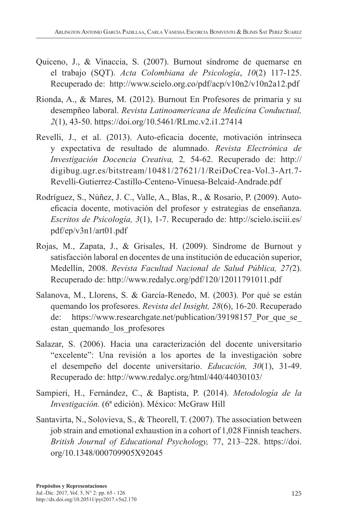- Quiceno, J., & Vinaccia, S. (2007). Burnout síndrome de quemarse en el trabajo (SQT). *Acta Colombiana de Psicología*, *10*(2) 117-125. Recuperado de: http://www.scielo.org.co/pdf/acp/v10n2/v10n2a12.pdf
- Rionda, A., & Mares, M. (2012). Burnout En Profesores de primaria y su desempñeo laboral. *Revista Latinoamericana de Medicina Conductual, 2*(1), 43-50. https://doi.org/10.5461/RLmc.v2.i1.27414
- Revelli, J., et al. (2013). Auto-eficacia docente, motivación intrínseca y expectativa de resultado de alumnado. *Revista Electrónica de Investigación Docencia Creativa,* 2*,* 54-62. Recuperado de: http:// digibug.ugr.es/bitstream/10481/27621/1/ReiDoCrea-Vol.3-Art.7- Revelli-Gutierrez-Castillo-Centeno-Vinuesa-Belcaid-Andrade.pdf
- Rodríguez, S., Núñez, J. C., Valle, A., Blas, R., & Rosario, P. (2009). Autoeficacia docente, motivación del profesor y estrategias de enseñanza. *Escritos de Psicología, 3*(1), 1-7. Recuperado de: http://scielo.isciii.es/ pdf/ep/v3n1/art01.pdf
- Rojas, M., Zapata, J., & Grisales, H. (2009). Síndrome de Burnout y satisfacción laboral en docentes de una institución de educación superior, Medellín, 2008. *Revista Facultad Nacional de Salud Pública, 27(*2). Recuperado de: http://www.redalyc.org/pdf/120/12011791011.pdf
- Salanova, M., Llorens, S. & García-Renedo, M. (2003). Por qué se están quemando los profesores. *Revista del Insight, 28*(6), 16-20. Recuperado de: https://www.researchgate.net/publication/39198157 Por que se estan\_quemando\_los\_profesores
- Salazar, S. (2006). Hacia una caracterización del docente universitario "excelente": Una revisión a los aportes de la investigación sobre el desempeño del docente universitario. *Educación, 30*(1), 31-49. Recuperado de: http://www.redalyc.org/html/440/44030103/
- Sampieri, H., Fernández, C., & Baptista, P. (2014). *Metodología de la Investigación.* (6ª edición). México: McGraw Hill
- Santavirta, N., Solovieva, S., & Theorell, T. (2007). The association between job strain and emotional exhaustion in a cohort of 1,028 Finnish teachers. *British Journal of Educational Psychology,* 77, 213–228. https://doi. org/10.1348/000709905X92045